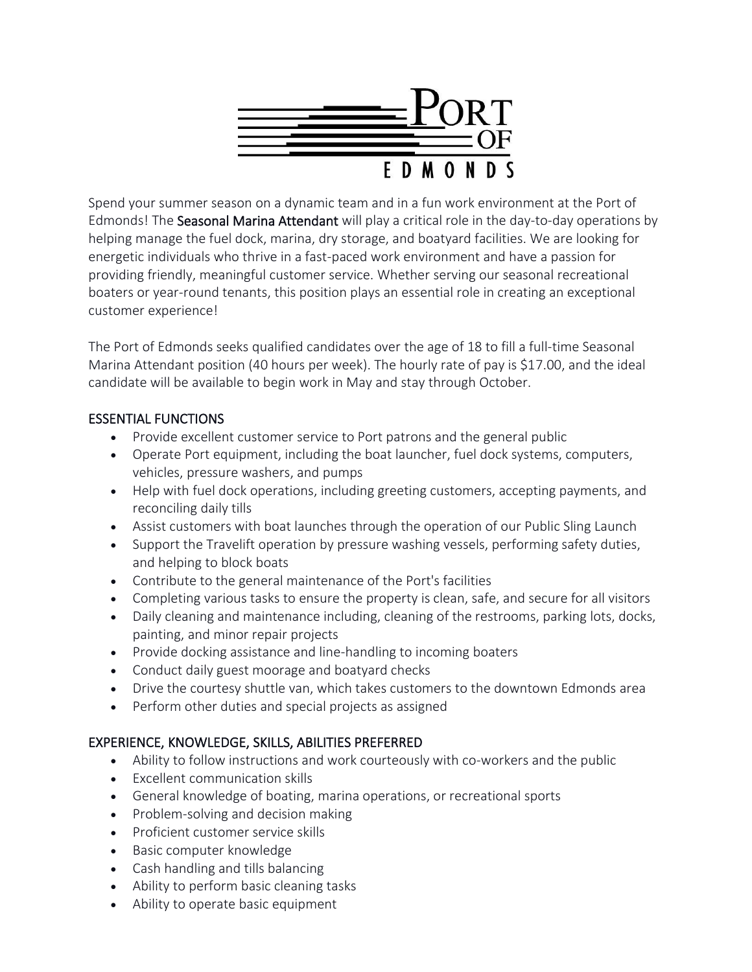

Spend your summer season on a dynamic team and in a fun work environment at the Port of Edmonds! The Seasonal Marina Attendant will play a critical role in the day-to-day operations by helping manage the fuel dock, marina, dry storage, and boatyard facilities. We are looking for energetic individuals who thrive in a fast-paced work environment and have a passion for providing friendly, meaningful customer service. Whether serving our seasonal recreational boaters or year-round tenants, this position plays an essential role in creating an exceptional customer experience!

The Port of Edmonds seeks qualified candidates over the age of 18 to fill a full-time Seasonal Marina Attendant position (40 hours per week). The hourly rate of pay is \$17.00, and the ideal candidate will be available to begin work in May and stay through October.

## ESSENTIAL FUNCTIONS

- Provide excellent customer service to Port patrons and the general public
- Operate Port equipment, including the boat launcher, fuel dock systems, computers, vehicles, pressure washers, and pumps
- Help with fuel dock operations, including greeting customers, accepting payments, and reconciling daily tills
- Assist customers with boat launches through the operation of our Public Sling Launch
- Support the Travelift operation by pressure washing vessels, performing safety duties, and helping to block boats
- Contribute to the general maintenance of the Port's facilities
- Completing various tasks to ensure the property is clean, safe, and secure for all visitors
- Daily cleaning and maintenance including, cleaning of the restrooms, parking lots, docks, painting, and minor repair projects
- Provide docking assistance and line-handling to incoming boaters
- Conduct daily guest moorage and boatyard checks
- Drive the courtesy shuttle van, which takes customers to the downtown Edmonds area
- Perform other duties and special projects as assigned

# EXPERIENCE, KNOWLEDGE, SKILLS, ABILITIES PREFERRED

- Ability to follow instructions and work courteously with co-workers and the public
- Excellent communication skills
- General knowledge of boating, marina operations, or recreational sports
- Problem-solving and decision making
- Proficient customer service skills
- Basic computer knowledge
- Cash handling and tills balancing
- Ability to perform basic cleaning tasks
- Ability to operate basic equipment